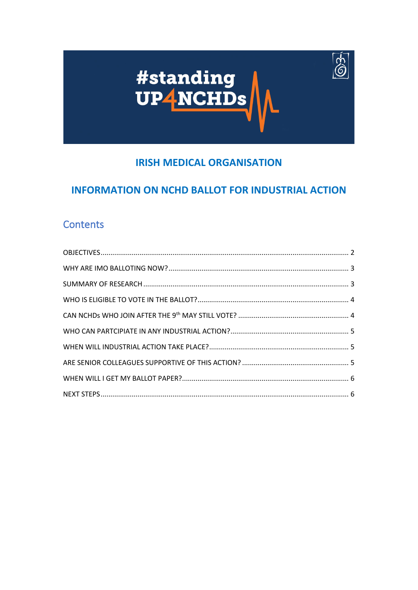

63-

# **IRISH MEDICAL ORGANISATION**

# **INFORMATION ON NCHD BALLOT FOR INDUSTRIAL ACTION**

# **Contents**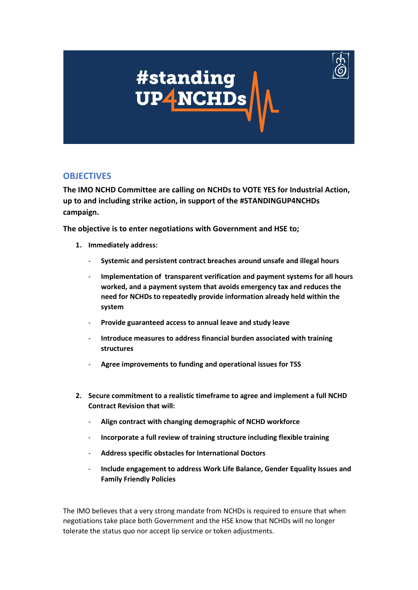

### <span id="page-1-0"></span>**OBJECTIVES**

**The IMO NCHD Committee are calling on NCHDs to VOTE YES for Industrial Action, up to and including strike action, in support of the #STANDINGUP4NCHDs campaign.** 

**The objective is to enter negotiations with Government and HSE to;**

- **1. Immediately address:**
	- **Systemic and persistent contract breaches around unsafe and illegal hours**
	- **Implementation of transparent verification and payment systems for all hours worked, and a payment system that avoids emergency tax and reduces the need for NCHDs to repeatedly provide information already held within the system**
	- **Provide guaranteed access to annual leave and study leave**
	- **Introduce measures to address financial burden associated with training structures**
	- **Agree improvements to funding and operational issues for TSS**
- **2. Secure commitment to a realistic timeframe to agree and implement a full NCHD Contract Revision that will:**
	- **Align contract with changing demographic of NCHD workforce**
	- **Incorporate a full review of training structure including flexible training**
	- **Address specific obstacles for International Doctors**
	- **Include engagement to address Work Life Balance, Gender Equality Issues and Family Friendly Policies**

The IMO believes that a very strong mandate from NCHDs is required to ensure that when negotiations take place both Government and the HSE know that NCHDs will no longer tolerate the status quo nor accept lip service or token adjustments.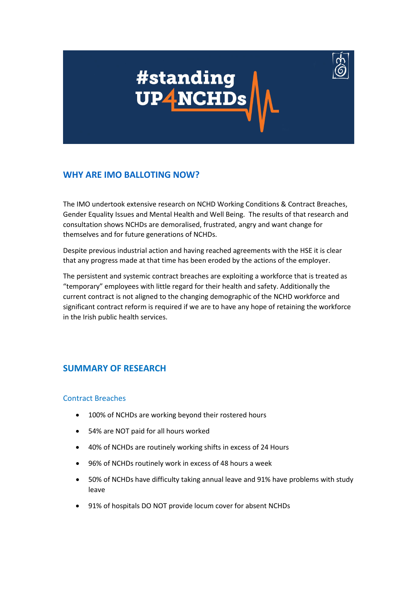

### <span id="page-2-0"></span>**WHY ARE [IMO BALLOTING NOW?](#page-2-0)**

The IMO undertook extensive research on NCHD Working Conditions & Contract Breaches, Gender Equality Issues and Mental Health and Well Being. The results of that research and consultation shows NCHDs are demoralised, frustrated, angry and want change for themselves and for future generations of NCHDs.

Despite previous industrial action and having reached agreements with the HSE it is clear that any progress made at that time has been eroded by the actions of the employer.

The persistent and systemic contract breaches are exploiting a workforce that is treated as "temporary" employees with little regard for their health and safety. Additionally the current contract is not aligned to the changing demographic of the NCHD workforce and significant contract reform is required if we are to have any hope of retaining the workforce in the Irish public health services.

### <span id="page-2-1"></span>**SUMMARY OF RESEARCH**

#### Contract Breaches

- 100% of NCHDs are working beyond their rostered hours
- 54% are NOT paid for all hours worked
- 40% of NCHDs are routinely working shifts in excess of 24 Hours
- 96% of NCHDs routinely work in excess of 48 hours a week
- 50% of NCHDs have difficulty taking annual leave and 91% have problems with study leave
- 91% of hospitals DO NOT provide locum cover for absent NCHDs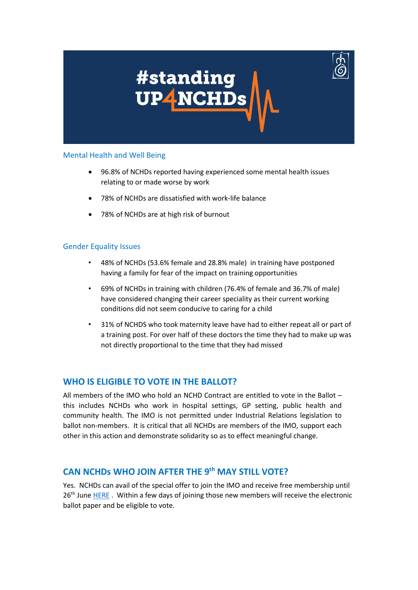

#### Mental Health and Well Being

- 96.8% of NCHDs reported having experienced some mental health issues relating to or made worse by work
- 78% of NCHDs are dissatisfied with work-life balance
- 78% of NCHDs are at high risk of burnout

#### Gender Equality Issues

- 48% of NCHDs (53.6% female and 28.8% male) in training have postponed having a family for fear of the impact on training opportunities
- 69% of NCHDs in training with children (76.4% of female and 36.7% of male) have considered changing their career speciality as their current working conditions did not seem conducive to caring for a child
- 31% of NCHDS who took maternity leave have had to either repeat all or part of a training post. For over half of these doctors the time they had to make up was not directly proportional to the time that they had missed

### <span id="page-3-0"></span>**WHO IS ELIGIBLE TO VOTE IN THE BALLOT?**

All members of the IMO who hold an NCHD Contract are entitled to vote in the Ballot – this includes NCHDs who work in hospital settings, GP setting, public health and community health. The IMO is not permitted under Industrial Relations legislation to ballot non-members. It is critical that all NCHDs are members of the IMO, support each other in this action and demonstrate solidarity so as to effect meaningful change.

### <span id="page-3-1"></span>**CAN NCHDs WHO JOIN AFTER THE 9th MAY STILL VOTE?**

Yes. NCHDs can avail of the special offer to join the IMO and receive free membership until 26<sup>th</sup> Jun[e HERE](https://www.imo.ie/join-now/form/) . Within a few days of joining those new members will receive the electronic ballot paper and be eligible to vote.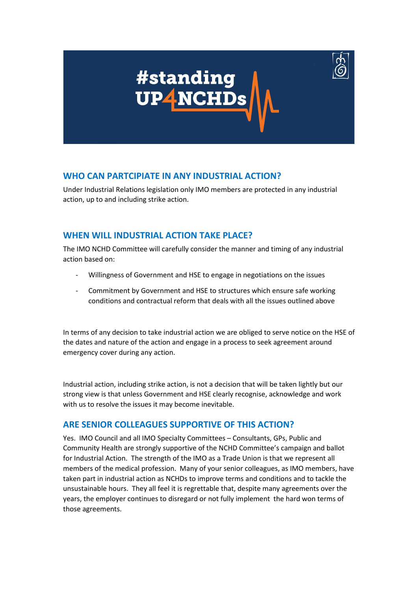

### <span id="page-4-0"></span>**WHO CAN PARTCIPIATE IN ANY INDUSTRIAL ACTION?**

Under Industrial Relations legislation only IMO members are protected in any industrial action, up to and including strike action.

## <span id="page-4-1"></span>**WHEN WILL INDUSTRIAL ACTION TAKE PLACE?**

The IMO NCHD Committee will carefully consider the manner and timing of any industrial action based on:

- Willingness of Government and HSE to engage in negotiations on the issues
- Commitment by Government and HSE to structures which ensure safe working conditions and contractual reform that deals with all the issues outlined above

In terms of any decision to take industrial action we are obliged to serve notice on the HSE of the dates and nature of the action and engage in a process to seek agreement around emergency cover during any action.

Industrial action, including strike action, is not a decision that will be taken lightly but our strong view is that unless Government and HSE clearly recognise, acknowledge and work with us to resolve the issues it may become inevitable.

## <span id="page-4-2"></span>**ARE SENIOR COLLEAGUES SUPPORTIVE OF THIS ACTION?**

Yes. IMO Council and all IMO Specialty Committees – Consultants, GPs, Public and Community Health are strongly supportive of the NCHD Committee's campaign and ballot for Industrial Action. The strength of the IMO as a Trade Union is that we represent all members of the medical profession. Many of your senior colleagues, as IMO members, have taken part in industrial action as NCHDs to improve terms and conditions and to tackle the unsustainable hours. They all feel it is regrettable that, despite many agreements over the years, the employer continues to disregard or not fully implement the hard won terms of those agreements.